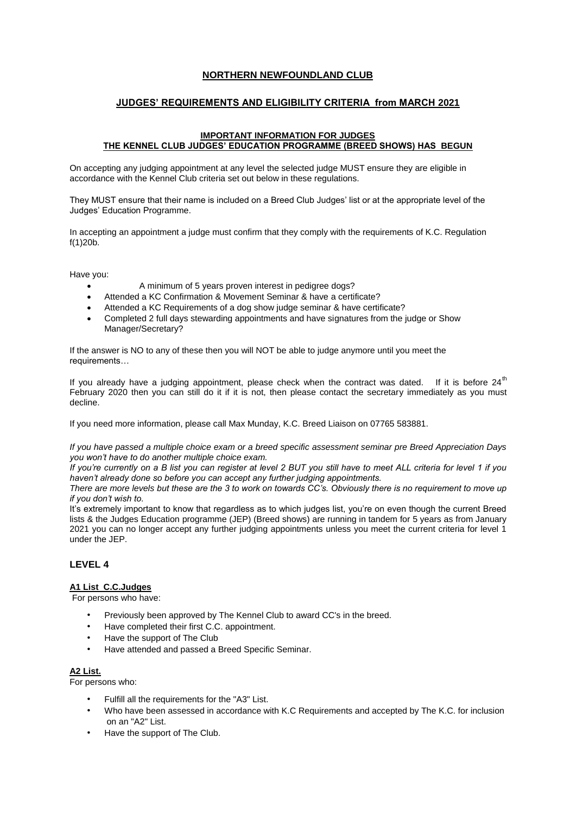# **NORTHERN NEWFOUNDLAND CLUB**

# **JUDGES' REQUIREMENTS AND ELIGIBILITY CRITERIA from MARCH 2021**

### **IMPORTANT INFORMATION FOR JUDGES THE KENNEL CLUB JUDGES' EDUCATION PROGRAMME (BREED SHOWS) HAS BEGUN**

On accepting any judging appointment at any level the selected judge MUST ensure they are eligible in accordance with the Kennel Club criteria set out below in these regulations.

They MUST ensure that their name is included on a Breed Club Judges' list or at the appropriate level of the Judges' Education Programme.

In accepting an appointment a judge must confirm that they comply with the requirements of K.C. Regulation f(1)20b.

Have you:

- A minimum of 5 years proven interest in pedigree dogs?
- Attended a KC Confirmation & Movement Seminar & have a certificate?
- Attended a KC Requirements of a dog show judge seminar & have certificate?
- Completed 2 full days stewarding appointments and have signatures from the judge or Show Manager/Secretary?

If the answer is NO to any of these then you will NOT be able to judge anymore until you meet the requirements…

If you already have a judging appointment, please check when the contract was dated. If it is before  $24<sup>th</sup>$ February 2020 then you can still do it if it is not, then please contact the secretary immediately as you must decline.

If you need more information, please call Max Munday, K.C. Breed Liaison on 07765 583881.

*If you have passed a multiple choice exam or a breed specific assessment seminar pre Breed Appreciation Days you won't have to do another multiple choice exam.* 

*If you're currently on a B list you can register at level 2 BUT you still have to meet ALL criteria for level 1 if you haven't already done so before you can accept any further judging appointments.* 

*There are more levels but these are the 3 to work on towards CC's. Obviously there is no requirement to move up if you don't wish to.* 

It's extremely important to know that regardless as to which judges list, you're on even though the current Breed lists & the Judges Education programme (JEP) (Breed shows) are running in tandem for 5 years as from January 2021 you can no longer accept any further judging appointments unless you meet the current criteria for level 1 under the JEP.

# **LEVEL 4**

# **A1 List C.C.Judges**

For persons who have:

- Previously been approved by The Kennel Club to award CC's in the breed.
- Have completed their first C.C. appointment.
- Have the support of The Club
- Have attended and passed a Breed Specific Seminar.

# **A2 List.**

For persons who:

- Fulfill all the requirements for the "A3" List.
- Who have been assessed in accordance with K.C Requirements and accepted by The K.C. for inclusion on an "A2" List.
- Have the support of The Club.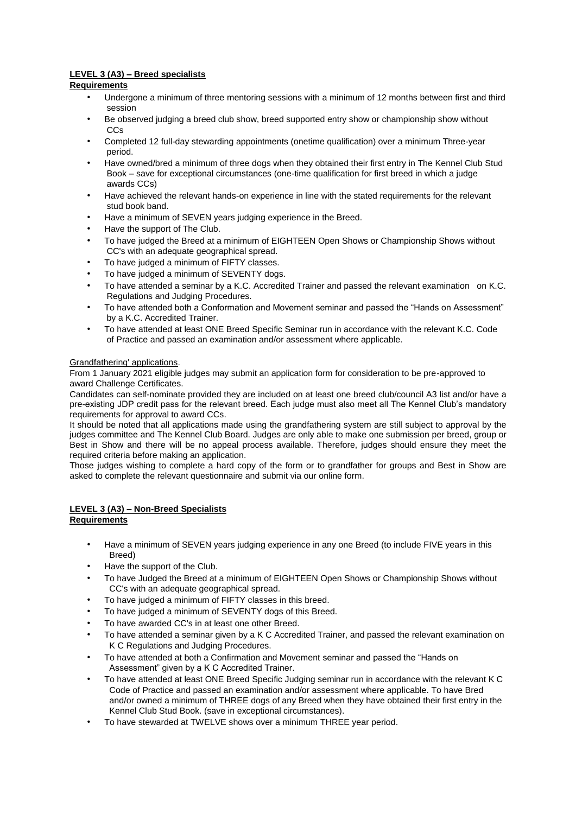# **LEVEL 3 (A3) – Breed specialists**

# **Requirements**

- Undergone a minimum of three mentoring sessions with a minimum of 12 months between first and third session
- Be observed judging a breed club show, breed supported entry show or championship show without CCs
- Completed 12 full-day stewarding appointments (onetime qualification) over a minimum Three-year period.
- Have owned/bred a minimum of three dogs when they obtained their first entry in The Kennel Club Stud Book – save for exceptional circumstances (one-time qualification for first breed in which a judge awards CCs)
- Have achieved the relevant hands-on experience in line with the stated requirements for the relevant stud book band.
- Have a minimum of SEVEN years judging experience in the Breed.
- Have the support of The Club.
- To have judged the Breed at a minimum of EIGHTEEN Open Shows or Championship Shows without CC's with an adequate geographical spread.
- To have judged a minimum of FIFTY classes.
- To have judged a minimum of SEVENTY dogs.
- To have attended a seminar by a K.C. Accredited Trainer and passed the relevant examination on K.C. Regulations and Judging Procedures.
- To have attended both a Conformation and Movement seminar and passed the "Hands on Assessment" by a K.C. Accredited Trainer.
- To have attended at least ONE Breed Specific Seminar run in accordance with the relevant K.C. Code of Practice and passed an examination and/or assessment where applicable.

# Grandfathering' applications.

From 1 January 2021 eligible judges may submit an application form for consideration to be pre-approved to award Challenge Certificates.

Candidates can self-nominate provided they are included on at least one breed club/council A3 list and/or have a pre-existing JDP credit pass for the relevant breed. Each judge must also meet all The Kennel Club's mandatory requirements for approval to award CCs.

It should be noted that all applications made using the grandfathering system are still subject to approval by the judges committee and The Kennel Club Board. Judges are only able to make one submission per breed, group or Best in Show and there will be no appeal process available. Therefore, judges should ensure they meet the required criteria before making an application.

Those judges wishing to complete a hard copy of the form or to grandfather for groups and Best in Show are asked to complete the relevant questionnaire and submit via our online form.

# **LEVEL 3 (A3) – Non-Breed Specialists**

- **Requirements**
	- Have a minimum of SEVEN years judging experience in any one Breed (to include FIVE years in this Breed)
	- Have the support of the Club.
	- To have Judged the Breed at a minimum of EIGHTEEN Open Shows or Championship Shows without CC's with an adequate geographical spread.
	- To have judged a minimum of FIFTY classes in this breed.
	- To have judged a minimum of SEVENTY dogs of this Breed.
	- To have awarded CC's in at least one other Breed.
	- To have attended a seminar given by a K C Accredited Trainer, and passed the relevant examination on K C Regulations and Judging Procedures.
	- To have attended at both a Confirmation and Movement seminar and passed the "Hands on Assessment" given by a K C Accredited Trainer.
	- To have attended at least ONE Breed Specific Judging seminar run in accordance with the relevant K C Code of Practice and passed an examination and/or assessment where applicable. To have Bred and/or owned a minimum of THREE dogs of any Breed when they have obtained their first entry in the Kennel Club Stud Book. (save in exceptional circumstances).
	- To have stewarded at TWELVE shows over a minimum THREE year period.